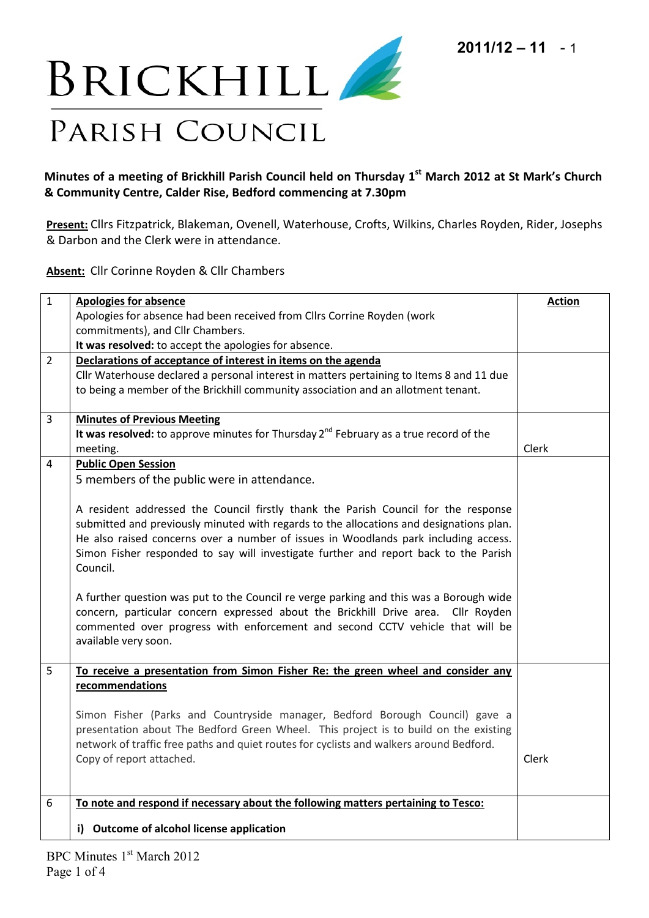

## **Minutes of a meeting of Brickhill Parish Council held on Thursday 1 st March 2012 at St Mark's Church & Community Centre, Calder Rise, Bedford commencing at 7.30pm**

**Present:** Cllrs Fitzpatrick, Blakeman, Ovenell, Waterhouse, Crofts, Wilkins, Charles Royden, Rider, Josephs & Darbon and the Clerk were in attendance.

**Absent:** Cllr Corinne Royden & Cllr Chambers

| $\mathbf{1}$   | <b>Apologies for absence</b>                                                               | <b>Action</b> |
|----------------|--------------------------------------------------------------------------------------------|---------------|
|                | Apologies for absence had been received from Cllrs Corrine Royden (work                    |               |
|                | commitments), and Cllr Chambers.                                                           |               |
|                | It was resolved: to accept the apologies for absence.                                      |               |
| $\overline{2}$ | Declarations of acceptance of interest in items on the agenda                              |               |
|                | Cllr Waterhouse declared a personal interest in matters pertaining to Items 8 and 11 due   |               |
|                | to being a member of the Brickhill community association and an allotment tenant.          |               |
| 3              | <b>Minutes of Previous Meeting</b>                                                         |               |
|                | It was resolved: to approve minutes for Thursday $2^{nd}$ February as a true record of the |               |
|                | meeting.                                                                                   | Clerk         |
| 4              | <b>Public Open Session</b>                                                                 |               |
|                | 5 members of the public were in attendance.                                                |               |
|                |                                                                                            |               |
|                | A resident addressed the Council firstly thank the Parish Council for the response         |               |
|                | submitted and previously minuted with regards to the allocations and designations plan.    |               |
|                | He also raised concerns over a number of issues in Woodlands park including access.        |               |
|                | Simon Fisher responded to say will investigate further and report back to the Parish       |               |
|                | Council.                                                                                   |               |
|                |                                                                                            |               |
|                | A further question was put to the Council re verge parking and this was a Borough wide     |               |
|                | concern, particular concern expressed about the Brickhill Drive area. Cllr Royden          |               |
|                | commented over progress with enforcement and second CCTV vehicle that will be              |               |
|                | available very soon.                                                                       |               |
| 5              | To receive a presentation from Simon Fisher Re: the green wheel and consider any           |               |
|                | recommendations                                                                            |               |
|                |                                                                                            |               |
|                | Simon Fisher (Parks and Countryside manager, Bedford Borough Council) gave a               |               |
|                | presentation about The Bedford Green Wheel. This project is to build on the existing       |               |
|                | network of traffic free paths and quiet routes for cyclists and walkers around Bedford.    |               |
|                | Copy of report attached.                                                                   | Clerk         |
|                |                                                                                            |               |
| 6              | To note and respond if necessary about the following matters pertaining to Tesco:          |               |
|                |                                                                                            |               |
|                | i) Outcome of alcohol license application                                                  |               |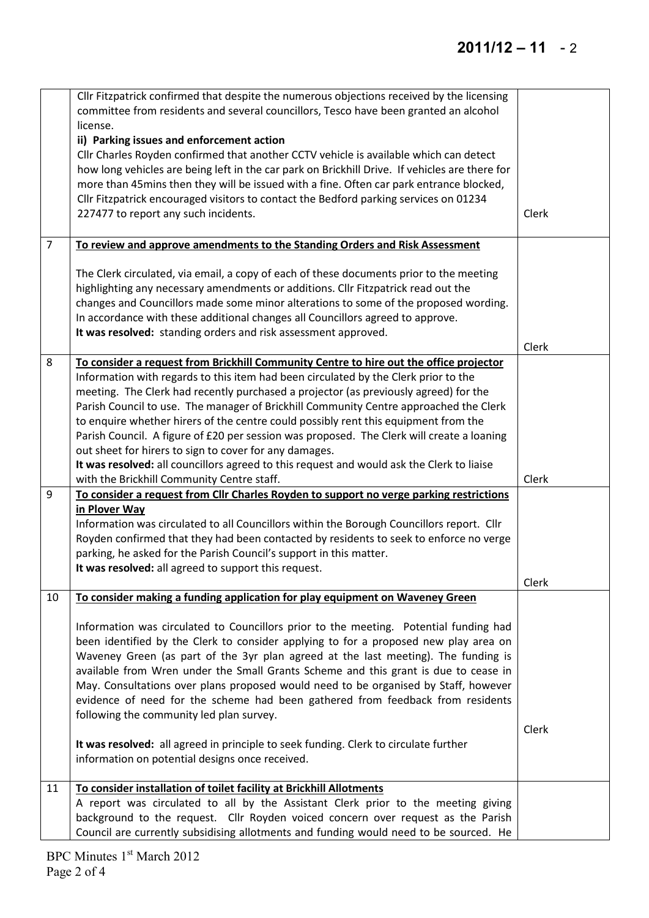|                | Cllr Fitzpatrick confirmed that despite the numerous objections received by the licensing<br>committee from residents and several councillors, Tesco have been granted an alcohol                                                                                                                                                                                                                                                                                                                                                                                               |       |
|----------------|---------------------------------------------------------------------------------------------------------------------------------------------------------------------------------------------------------------------------------------------------------------------------------------------------------------------------------------------------------------------------------------------------------------------------------------------------------------------------------------------------------------------------------------------------------------------------------|-------|
|                | license.                                                                                                                                                                                                                                                                                                                                                                                                                                                                                                                                                                        |       |
|                | ii) Parking issues and enforcement action<br>Cllr Charles Royden confirmed that another CCTV vehicle is available which can detect<br>how long vehicles are being left in the car park on Brickhill Drive. If vehicles are there for<br>more than 45mins then they will be issued with a fine. Often car park entrance blocked,<br>Cllr Fitzpatrick encouraged visitors to contact the Bedford parking services on 01234<br>227477 to report any such incidents.                                                                                                                | Clerk |
| $\overline{7}$ | To review and approve amendments to the Standing Orders and Risk Assessment                                                                                                                                                                                                                                                                                                                                                                                                                                                                                                     |       |
|                | The Clerk circulated, via email, a copy of each of these documents prior to the meeting<br>highlighting any necessary amendments or additions. Cllr Fitzpatrick read out the<br>changes and Councillors made some minor alterations to some of the proposed wording.<br>In accordance with these additional changes all Councillors agreed to approve.<br>It was resolved: standing orders and risk assessment approved.                                                                                                                                                        | Clerk |
| 8              | To consider a request from Brickhill Community Centre to hire out the office projector                                                                                                                                                                                                                                                                                                                                                                                                                                                                                          |       |
|                | Information with regards to this item had been circulated by the Clerk prior to the<br>meeting. The Clerk had recently purchased a projector (as previously agreed) for the<br>Parish Council to use. The manager of Brickhill Community Centre approached the Clerk<br>to enquire whether hirers of the centre could possibly rent this equipment from the<br>Parish Council. A figure of £20 per session was proposed. The Clerk will create a loaning<br>out sheet for hirers to sign to cover for any damages.                                                              |       |
|                | It was resolved: all councillors agreed to this request and would ask the Clerk to liaise<br>with the Brickhill Community Centre staff.                                                                                                                                                                                                                                                                                                                                                                                                                                         | Clerk |
| 9              | To consider a request from Cllr Charles Royden to support no verge parking restrictions                                                                                                                                                                                                                                                                                                                                                                                                                                                                                         |       |
|                | in Plover Way<br>Information was circulated to all Councillors within the Borough Councillors report. Cllr<br>Royden confirmed that they had been contacted by residents to seek to enforce no verge<br>parking, he asked for the Parish Council's support in this matter.<br>It was resolved: all agreed to support this request.                                                                                                                                                                                                                                              |       |
|                |                                                                                                                                                                                                                                                                                                                                                                                                                                                                                                                                                                                 | Clerk |
| 10             | To consider making a funding application for play equipment on Waveney Green                                                                                                                                                                                                                                                                                                                                                                                                                                                                                                    |       |
|                | Information was circulated to Councillors prior to the meeting. Potential funding had<br>been identified by the Clerk to consider applying to for a proposed new play area on<br>Waveney Green (as part of the 3yr plan agreed at the last meeting). The funding is<br>available from Wren under the Small Grants Scheme and this grant is due to cease in<br>May. Consultations over plans proposed would need to be organised by Staff, however<br>evidence of need for the scheme had been gathered from feedback from residents<br>following the community led plan survey. |       |
|                | It was resolved: all agreed in principle to seek funding. Clerk to circulate further<br>information on potential designs once received.                                                                                                                                                                                                                                                                                                                                                                                                                                         | Clerk |
| 11             | To consider installation of toilet facility at Brickhill Allotments                                                                                                                                                                                                                                                                                                                                                                                                                                                                                                             |       |
|                | A report was circulated to all by the Assistant Clerk prior to the meeting giving<br>background to the request. Cllr Royden voiced concern over request as the Parish<br>Council are currently subsidising allotments and funding would need to be sourced. He                                                                                                                                                                                                                                                                                                                  |       |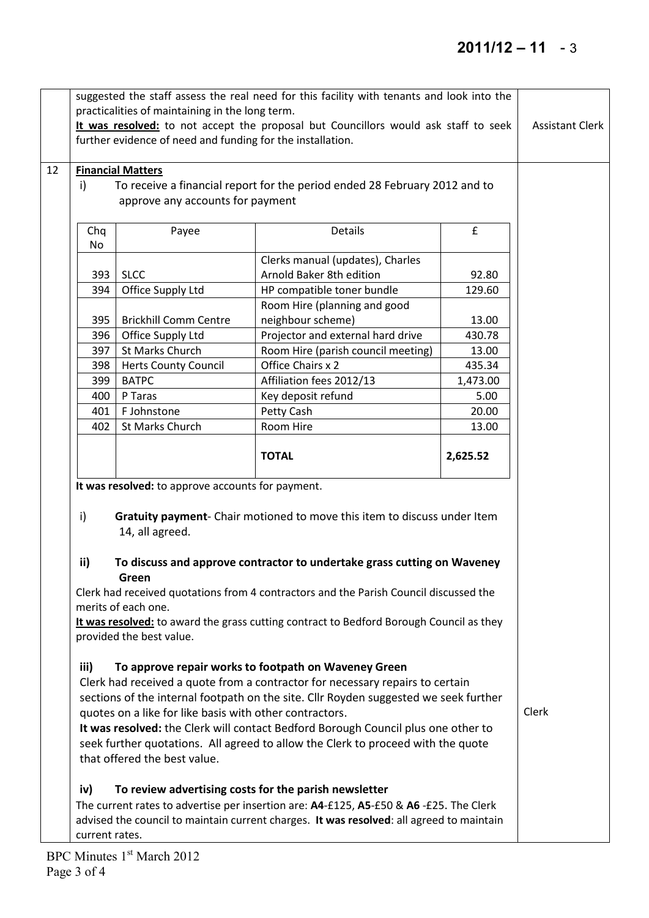## **2011/12 – 11** - 3

|    |                                                                                                                                                                                                                                                                                                                                                                                                                                                                                                                                                                                                                                                                                                             | practicalities of maintaining in the long term.<br>further evidence of need and funding for the installation.                                                                     | suggested the staff assess the real need for this facility with tenants and look into the<br>It was resolved: to not accept the proposal but Councillors would ask staff to seek                                               |                          | <b>Assistant Clerk</b> |
|----|-------------------------------------------------------------------------------------------------------------------------------------------------------------------------------------------------------------------------------------------------------------------------------------------------------------------------------------------------------------------------------------------------------------------------------------------------------------------------------------------------------------------------------------------------------------------------------------------------------------------------------------------------------------------------------------------------------------|-----------------------------------------------------------------------------------------------------------------------------------------------------------------------------------|--------------------------------------------------------------------------------------------------------------------------------------------------------------------------------------------------------------------------------|--------------------------|------------------------|
| 12 | <b>Financial Matters</b><br>i)<br>To receive a financial report for the period ended 28 February 2012 and to                                                                                                                                                                                                                                                                                                                                                                                                                                                                                                                                                                                                |                                                                                                                                                                                   |                                                                                                                                                                                                                                |                          |                        |
|    | Chq<br>No                                                                                                                                                                                                                                                                                                                                                                                                                                                                                                                                                                                                                                                                                                   | Payee                                                                                                                                                                             | <b>Details</b>                                                                                                                                                                                                                 | $\pmb{\mathsf{f}}$       |                        |
|    | 393                                                                                                                                                                                                                                                                                                                                                                                                                                                                                                                                                                                                                                                                                                         | <b>SLCC</b>                                                                                                                                                                       | Clerks manual (updates), Charles<br>Arnold Baker 8th edition                                                                                                                                                                   | 92.80                    |                        |
|    | 394                                                                                                                                                                                                                                                                                                                                                                                                                                                                                                                                                                                                                                                                                                         | Office Supply Ltd                                                                                                                                                                 | HP compatible toner bundle<br>Room Hire (planning and good                                                                                                                                                                     | 129.60                   |                        |
|    | 395<br>396<br>397                                                                                                                                                                                                                                                                                                                                                                                                                                                                                                                                                                                                                                                                                           | <b>Brickhill Comm Centre</b><br>Office Supply Ltd<br>St Marks Church                                                                                                              | neighbour scheme)<br>Projector and external hard drive<br>Room Hire (parish council meeting)                                                                                                                                   | 13.00<br>430.78<br>13.00 |                        |
|    | 398<br>399                                                                                                                                                                                                                                                                                                                                                                                                                                                                                                                                                                                                                                                                                                  | <b>Herts County Council</b><br><b>BATPC</b>                                                                                                                                       | Office Chairs x 2<br>Affiliation fees 2012/13                                                                                                                                                                                  | 435.34<br>1,473.00       |                        |
|    | 400<br>401                                                                                                                                                                                                                                                                                                                                                                                                                                                                                                                                                                                                                                                                                                  | P Taras<br>F Johnstone                                                                                                                                                            | Key deposit refund<br>Petty Cash                                                                                                                                                                                               | 5.00<br>20.00            |                        |
|    | 402                                                                                                                                                                                                                                                                                                                                                                                                                                                                                                                                                                                                                                                                                                         | St Marks Church                                                                                                                                                                   | Room Hire                                                                                                                                                                                                                      | 13.00                    |                        |
|    |                                                                                                                                                                                                                                                                                                                                                                                                                                                                                                                                                                                                                                                                                                             | It was resolved: to approve accounts for payment.                                                                                                                                 | <b>TOTAL</b>                                                                                                                                                                                                                   | 2,625.52                 |                        |
|    | Gratuity payment- Chair motioned to move this item to discuss under Item<br>i)<br>ii)<br>To discuss and approve contractor to undertake grass cutting on Waveney<br>Clerk had received quotations from 4 contractors and the Parish Council discussed the<br>merits of each one.<br>It was resolved: to award the grass cutting contract to Bedford Borough Council as they<br>provided the best value.<br>To approve repair works to footpath on Waveney Green<br>iii)<br>Clerk had received a quote from a contractor for necessary repairs to certain<br>sections of the internal footpath on the site. Cllr Royden suggested we seek further<br>quotes on a like for like basis with other contractors. | Clerk                                                                                                                                                                             |                                                                                                                                                                                                                                |                          |                        |
|    | iv)                                                                                                                                                                                                                                                                                                                                                                                                                                                                                                                                                                                                                                                                                                         | that offered the best value.                                                                                                                                                      | It was resolved: the Clerk will contact Bedford Borough Council plus one other to<br>seek further quotations. All agreed to allow the Clerk to proceed with the quote<br>To review advertising costs for the parish newsletter |                          |                        |
|    | current rates.                                                                                                                                                                                                                                                                                                                                                                                                                                                                                                                                                                                                                                                                                              | The current rates to advertise per insertion are: A4-£125, A5-£50 & A6-£25. The Clerk<br>advised the council to maintain current charges. It was resolved: all agreed to maintain |                                                                                                                                                                                                                                |                          |                        |